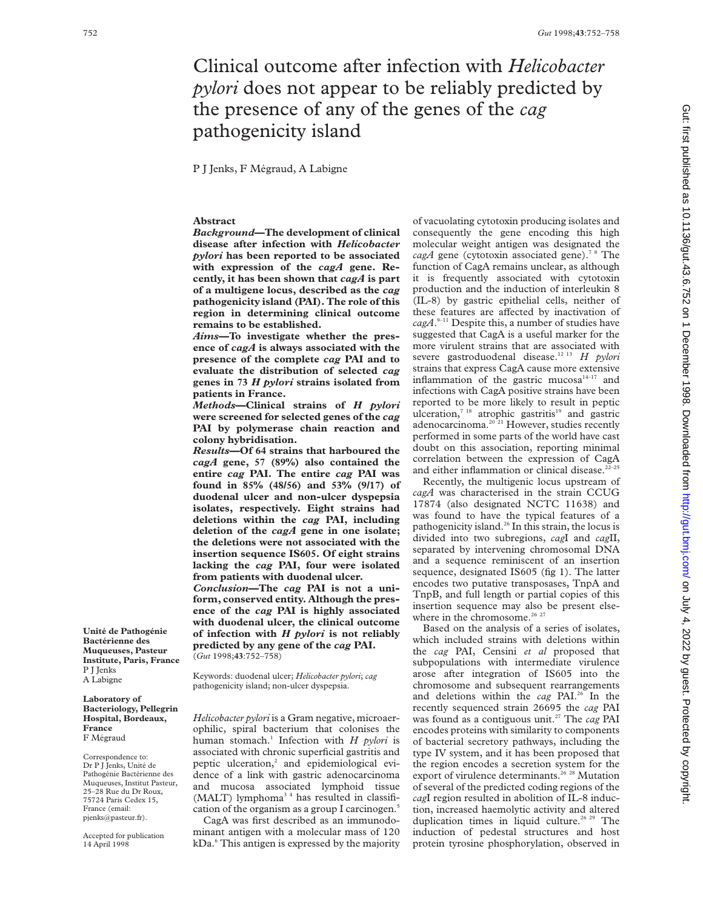# Clinical outcome after infection with *Helicobacter pylori* does not appear to be reliably predicted by the presence of any of the genes of the *cag* pathogenicity island

P J Jenks, F Mégraud, A Labigne

## **Abstract**

*Background***—The development of clinical disease after infection with** *Helicobacter pylori* **has been reported to be associated with expression of the** *cagA* **gene. Recently, it has been shown that** *cagA* **is part of a multigene locus, described as the** *cag* **pathogenicity island (PAI). The role of this region in determining clinical outcome remains to be established.**

*Aims***—To investigate whether the presence of** *cagA* **is always associated with the presence of the complete** *cag* **PAI and to evaluate the distribution of selected** *cag* **genes in 73** *H pylori* **strains isolated from patients in France.**

*Methods***—Clinical strains of** *H pylori* **were screened for selected genes of the** *cag* **PAI by polymerase chain reaction and colony hybridisation.**

*Results***—Of 64 strains that harboured the** *cagA* **gene, 57 (89%) also contained the entire** *cag* **PAI. The entire** *cag* **PAI was found in 85% (48/56) and 53% (9/17) of duodenal ulcer and non-ulcer dyspepsia isolates, respectively. Eight strains had deletions within the** *cag* **PAI, including deletion of the** *cagA* **gene in one isolate; the deletions were not associated with the insertion sequence IS605. Of eight strains lacking the** *cag* **PAI, four were isolated from patients with duodenal ulcer.** *Conclusion***—The** *cag* **PAI is not a uni-**

**form, conserved entity. Although the presence of the** *cag* **PAI is highly associated with duodenal ulcer, the clinical outcome of infection with** *H pylori* **is not reliably predicted by any gene of the** *cag* **PAI.** (*Gut* 1998;**43**:752–758)

Keywords: duodenal ulcer; *Helicobacter pylori*; *cag* pathogenicity island; non-ulcer dyspepsia.

*Helicobacter pylori* is a Gram negative, microaerophilic, spiral bacterium that colonises the human stomach.<sup>1</sup> Infection with *H pylori* is associated with chronic superficial gastritis and peptic ulceration,<sup>2</sup> and epidemiological evidence of a link with gastric adenocarcinoma and mucosa associated lymphoid tissue (MALT) lymphoma<sup>34</sup> has resulted in classification of the organism as a group I carcinogen.<sup>5</sup>

CagA was first described as an immunodominant antigen with a molecular mass of 120 kDa.<sup>6</sup> This antigen is expressed by the majority

of vacuolating cytotoxin producing isolates and consequently the gene encoding this high molecular weight antigen was designated the  $cagA$  gene (cytotoxin associated gene).<sup>78</sup> The function of CagA remains unclear, as although it is frequently associated with cytotoxin production and the induction of interleukin 8 (IL-8) by gastric epithelial cells, neither of these features are affected by inactivation of *cagA*. 9–11 Despite this, a number of studies have suggested that CagA is a useful marker for the more virulent strains that are associated with severe gastroduodenal disease.12 13 *H pylori* strains that express CagA cause more extensive inflammation of the gastric mucosa $14-17$  and infections with CagA positive strains have been reported to be more likely to result in peptic ulceration, $7^{18}$  atrophic gastritis<sup>19</sup> and gastric adenocarcinoma.<sup>20 21</sup> However, studies recently performed in some parts of the world have cast doubt on this association, reporting minimal correlation between the expression of CagA and either inflammation or clinical disease. $22-25$ 

Recently, the multigenic locus upstream of *cagA* was characterised in the strain CCUG 17874 (also designated NCTC 11638) and was found to have the typical features of a pathogenicity island.26 In this strain, the locus is divided into two subregions, *cag*I and *cag*II, separated by intervening chromosomal DNA and a sequence reminiscent of an insertion sequence, designated IS605 (fig 1). The latter encodes two putative transposases, TnpA and TnpB, and full length or partial copies of this insertion sequence may also be present elsewhere in the chromosome.<sup>26 27</sup>

Based on the analysis of a series of isolates, which included strains with deletions within the *cag* PAI, Censini *et al* proposed that subpopulations with intermediate virulence arose after integration of IS605 into the chromosome and subsequent rearrangements and deletions within the *cag* PAI.26 In the recently sequenced strain 26695 the *cag* PAI was found as a contiguous unit.<sup>27</sup> The *cag* PAI encodes proteins with similarity to components of bacterial secretory pathways, including the type IV system, and it has been proposed that the region encodes a secretion system for the export of virulence determinants.<sup>26</sup> <sup>28</sup> Mutation of several of the predicted coding regions of the *cag*I region resulted in abolition of IL-8 induction, increased haemolytic activity and altered duplication times in liquid culture.<sup>26 29</sup> The induction of pedestal structures and host protein tyrosine phosphorylation, observed in

Gut: first published as 10.1136/gut.43.6.752 on 1 December 1998. Downloaded from http://gut.bmj.com/ on July 4, 2022 by guest. Protected by copyright on July 4, 2022 by guest. Protected by copyright. <http://gut.bmj.com/> Gut: first published as 10.1136/gut.43.6.752 on 1 December 1998. Downloaded from

**Unité de Pathogénie Bactérienne des Muqueuses, Pasteur Institute, Paris, France**

P J Jenks A Labigne **Laboratory of Bacteriology, Pellegrin Hospital, Bordeaux,**

**France** F Mégraud Correspondence to: Dr P J Jenks, Unité de Pathogénie Bactérienne des Muqueuses, Institut Pasteur, 25–28 Rue du Dr Roux, 75724 Paris Cedex 15, France (email: pjenks@pasteur.fr). Accepted for publication 14 April 1998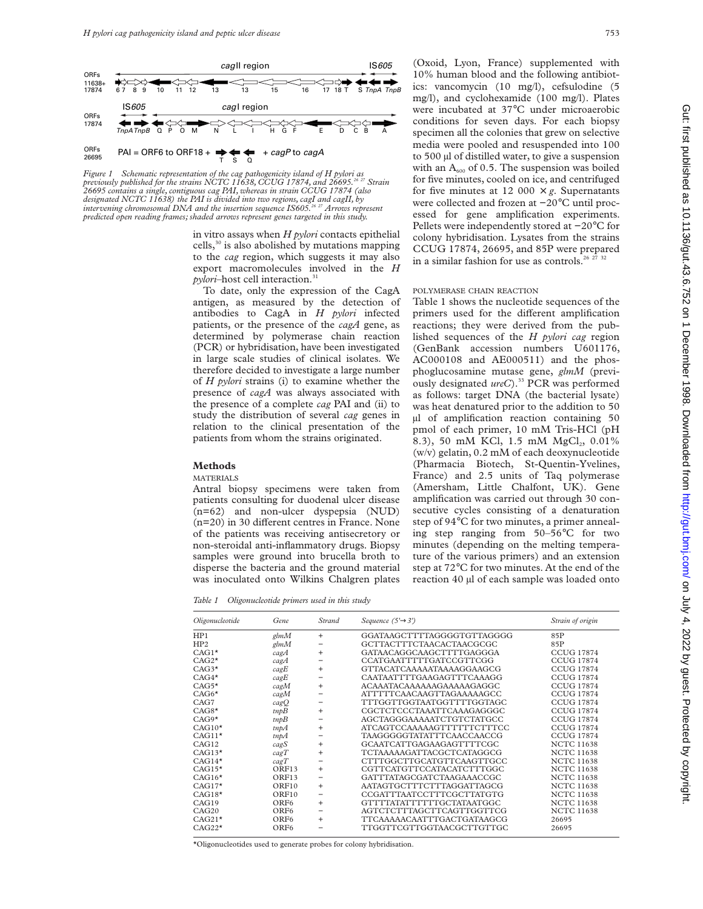

*Figure 1 Schematic representation of the cag pathogenicity island of H pylori as previously published for the strains NCTC 11638, CCUG 17874, and 26695.26 27 Strain 26695 contains a single, contiguous cag PAI, whereas in strain CCUG 17874 (also designated NCTC 11638) the PAI is divided into two regions, cagI and cagII, by intervening chromosomal DNA and the insertion sequence IS605.26 27 Arrows represent predicted open reading frames; shaded arrows represent genes targeted in this study.*

in vitro assays when *H pylori* contacts epithelial cells, $30$  is also abolished by mutations mapping to the *cag* region, which suggests it may also export macromolecules involved in the *H pylori*–host cell interaction.<sup>31</sup>

To date, only the expression of the CagA antigen, as measured by the detection of antibodies to CagA in *H pylori* infected patients, or the presence of the *cagA* gene, as determined by polymerase chain reaction (PCR) or hybridisation, have been investigated in large scale studies of clinical isolates. We therefore decided to investigate a large number of *H pylori* strains (i) to examine whether the presence of *cagA* was always associated with the presence of a complete *cag* PAI and (ii) to study the distribution of several *cag* genes in relation to the clinical presentation of the patients from whom the strains originated.

## **Methods**

## MATERIALS

Antral biopsy specimens were taken from patients consulting for duodenal ulcer disease (n=62) and non-ulcer dyspepsia (NUD)  $(n=20)$  in 30 different centres in France. None of the patients was receiving antisecretory or non-steroidal anti-inflammatory drugs. Biopsy samples were ground into brucella broth to disperse the bacteria and the ground material was inoculated onto Wilkins Chalgren plates

*Table 1 Oligonucleotide primers used in this study*

(Oxoid, Lyon, France) supplemented with 10% human blood and the following antibiotics: vancomycin (10 mg/l), cefsulodine (5 mg/l), and cyclohexamide (100 mg/l). Plates were incubated at 37°C under microaerobic conditions for seven days. For each biopsy specimen all the colonies that grew on selective media were pooled and resuspended into 100 to 500 µl of distilled water, to give a suspension with an  $A_{600}$  of 0.5. The suspension was boiled for five minutes, cooled on ice, and centrifuged for five minutes at 12 000  $\times$  *g*. Supernatants were collected and frozen at −20°C until processed for gene amplification experiments. Pellets were independently stored at −20°C for colony hybridisation. Lysates from the strains CCUG 17874, 26695, and 85P were prepared in a similar fashion for use as controls.<sup>26 27 32</sup>

## POLYMERASE CHAIN REACTION

Table 1 shows the nucleotide sequences of the primers used for the different amplification reactions; they were derived from the published sequences of the *H pylori cag* region (GenBank accession numbers U601176, AC000108 and AE000511) and the phosphoglucosamine mutase gene, *glmM* (previously designated *ureC*).<sup>33</sup> PCR was performed as follows: target DNA (the bacterial lysate) was heat denatured prior to the addition to 50 µl of amplification reaction containing 50 pmol of each primer, 10 mM Tris-HCl (pH 8.3), 50 mM KCl, 1.5 mM MgCl<sub>2</sub>, 0.01% (w/v) gelatin, 0.2 mM of each deoxynucleotide (Pharmacia Biotech, St-Quentin-Yvelines, France) and 2.5 units of Taq polymerase (Amersham, Little Chalfont, UK). Gene amplification was carried out through 30 consecutive cycles consisting of a denaturation step of 94°C for two minutes, a primer annealing step ranging from 50–56°C for two minutes (depending on the melting temperature of the various primers) and an extension step at 72°C for two minutes. At the end of the reaction 40 µl of each sample was loaded onto

| Oligonucleotide         | Gene             | Strand    | Sequence $(5' \rightarrow 3')$ | Strain of origin  |
|-------------------------|------------------|-----------|--------------------------------|-------------------|
| HP1                     | glmM             | $^{+}$    | GGATAAGCTTTTAGGGGTGTTAGGGG     | 85P               |
| HP2                     | g/mM             |           | GCTTACTTTCTAACACTAACGCGC       | 85P               |
| $CAG1*$                 | cagA             | $\ddot{}$ | GATAACAGGCAAGCTTTTGAGGGA       | <b>CCUG 17874</b> |
| $CAG2*$                 | $c$ ag $A$       |           | CCATGAATTTTTGATCCGTTCGG        | <b>CCUG 17874</b> |
| $CAG3*$                 | cagE             | $\ddot{}$ | GTTACATCAAAAATAAAAGGAAGCG      | <b>CCUG 17874</b> |
| $\mathrm{CAG4}^{\star}$ | cagE             |           | CAATAATTTTGAAGAGTTTCAAAGG      | <b>CCUG 17874</b> |
| $CAG5*$                 | cagM             | $\ddot{}$ | ACAAATACAAAAAAGAAAAAGAGGC      | <b>CCUG 17874</b> |
| $\mathrm{CAG6}^{\star}$ | cagM             |           | ATTTTTCAACAAGTTAGAAAAAGCC      | CCUG 17874        |
| CAG7                    | cagQ             |           | TTTGGTTGGTAATGGTTTTGGTAGC      | <b>CCUG 17874</b> |
| $CAG8*$                 | $\mathit{tmpB}$  | $\ddot{}$ | CGCTCTCCCTAAATTCAAAGAGGGC      | <b>CCUG 17874</b> |
| $CAG9*$                 | tmpB             |           | AGCTAGGGAAAAATCTGTCTATGCC      | <b>CCUG 17874</b> |
| $CAG10*$                | $\text{tnpA}$    | $\ddot{}$ | ATCAGTCCAAAAAGTTTTTTCTTTCC     | <b>CCUG 17874</b> |
| $CAG11*$                | $\text{trp}A$    |           | TAAGGGGGTATATTTCAACCAACCG      | <b>CCUG 17874</b> |
| CAG12                   | cagS             | $\ddot{}$ | GCAATCATTGAGAAGAGTTTTCGC       | <b>NCTC 11638</b> |
| $CAG13*$                | cagT             | $\ddot{}$ | TCTAAAAAGATTACGCTCATAGGCG      | <b>NCTC 11638</b> |
| $\rm CAG14^{\star}$     | cagT             |           | CTTTGGCTTGCATGTTCAAGTTGCC      | <b>NCTC 11638</b> |
| $CAG15*$                | ORF13            | $+$       | CGTTCATGTTCCATACATCTTTGGC      | <b>NCTC 11638</b> |
| $CAG16*$                | ORF13            |           | GATTTATAGCGATCTAAGAAACCGC      | <b>NCTC 11638</b> |
| $CAG17*$                | ORF10            | $\ddot{}$ | AATAGTGCTTTCTTTAGGATTAGCG      | <b>NCTC 11638</b> |
| $CAG18*$                | ORF10            |           | CCGATTTAATCCTTTCGCTTATGTG      | <b>NCTC 11638</b> |
| CAG19                   | ORF <sub>6</sub> | $\ddot{}$ | GTTTTATATTTTTTTGCTATAATGGC     | <b>NCTC 11638</b> |
| CAG20                   | ORF <sub>6</sub> |           | AGTCTCTTTAGCTTCAGTTGGTTCG      | <b>NCTC 11638</b> |
| $\text{CAG21*}$         | ORF <sub>6</sub> | $\ddot{}$ | TTCAAAAACAATTTGACTGATAAGCG     | 26695             |
| $CAG22*$                | ORF <sub>6</sub> |           | TTGGTTCGTTGGTAACGCTTGTTGC      | 26695             |

\*Oligonucleotides used to generate probes for colony hybridisation.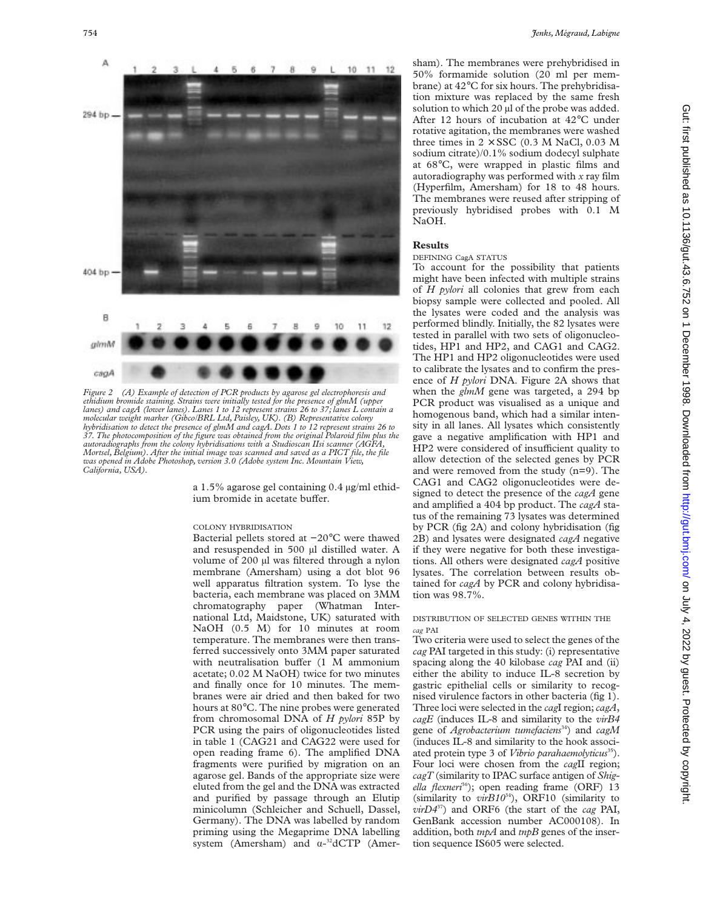

*Figure 2 (A) Example of detection of PCR products by agarose gel electrophoresis and ethidium bromide staining. Strains were initially tested for the presence of glmM (upper lanes) and cagA (lower lanes). Lanes 1 to 12 represent strains 26 to 37; lanes L contain a molecular weight marker (Gibco/BRL Ltd, Paisley, UK). (B) Representative colony hybridisation to detect the presence of glmM and cagA. Dots 1 to 12 represent strains 26 to 37. The photocomposition of the figure was obtained from the original Polaroid film plus the autoradiographs from the colony hybridisations with a Studioscan IIsi scanner (AGFA, Mortsel, Belgium). After the initial image was scanned and saved as a PICT file, the file was opened in Adobe Photoshop, version 3.0 (Adobe system Inc. Mountain View, California, USA).*

a 1.5% agarose gel containing 0.4 µg/ml ethidium bromide in acetate buffer.

#### COLONY HYBRIDISATION

Bacterial pellets stored at −20°C were thawed and resuspended in 500 µl distilled water. A volume of 200 µl was filtered through a nylon membrane (Amersham) using a dot blot 96 well apparatus filtration system. To lyse the bacteria, each membrane was placed on 3MM chromatography paper (Whatman International Ltd, Maidstone, UK) saturated with NaOH (0.5 M) for 10 minutes at room temperature. The membranes were then transferred successively onto 3MM paper saturated with neutralisation buffer (1 M ammonium acetate; 0.02 M NaOH) twice for two minutes and finally once for 10 minutes. The membranes were air dried and then baked for two hours at 80°C. The nine probes were generated from chromosomal DNA of *H pylori* 85P by PCR using the pairs of oligonucleotides listed in table 1 (CAG21 and CAG22 were used for open reading frame 6). The amplified DNA fragments were purified by migration on an agarose gel. Bands of the appropriate size were eluted from the gel and the DNA was extracted and purified by passage through an Elutip minicolumn (Schleicher and Schuell, Dassel, Germany). The DNA was labelled by random priming using the Megaprime DNA labelling system (Amersham) and  $\alpha$ -<sup>32</sup>dCTP (Amersham). The membranes were prehybridised in 50% formamide solution (20 ml per membrane) at 42°C for six hours. The prehybridisation mixture was replaced by the same fresh solution to which 20 µl of the probe was added. After 12 hours of incubation at 42°C under rotative agitation, the membranes were washed three times in  $2 \times SSC$  (0.3 M NaCl, 0.03 M sodium citrate)/0.1% sodium dodecyl sulphate at 68°C, were wrapped in plastic films and autoradiography was performed with *x* ray film (Hyperfilm, Amersham) for 18 to 48 hours. The membranes were reused after stripping of previously hybridised probes with 0.1 M NaOH.

## **Results**

#### DEFINING CagA STATUS

To account for the possibility that patients might have been infected with multiple strains of *H pylori* all colonies that grew from each biopsy sample were collected and pooled. All the lysates were coded and the analysis was performed blindly. Initially, the 82 lysates were tested in parallel with two sets of oligonucleotides, HP1 and HP2, and CAG1 and CAG2. The HP1 and HP2 oligonucleotides were used to calibrate the lysates and to confirm the presence of *H pylori* DNA. Figure 2A shows that when the *glmM* gene was targeted, a 294 bp PCR product was visualised as a unique and homogenous band, which had a similar intensity in all lanes. All lysates which consistently gave a negative amplification with HP1 and HP2 were considered of insufficient quality to allow detection of the selected genes by PCR and were removed from the study (n=9). The CAG1 and CAG2 oligonucleotides were designed to detect the presence of the *cagA* gene and amplified a 404 bp product. The *cagA* status of the remaining 73 lysates was determined by PCR (fig 2A) and colony hybridisation (fig 2B) and lysates were designated *cagA* negative if they were negative for both these investigations. All others were designated *cagA* positive lysates. The correlation between results obtained for *cagA* by PCR and colony hybridisation was 98.7%.

## DISTRIBUTION OF SELECTED GENES WITHIN THE *cag* PAI

Two criteria were used to select the genes of the *cag* PAI targeted in this study: (i) representative spacing along the 40 kilobase *cag* PAI and (ii) either the ability to induce IL-8 secretion by gastric epithelial cells or similarity to recognised virulence factors in other bacteria (fig 1). Three loci were selected in the *cag*I region;*cagA*, *cagE* (induces IL-8 and similarity to the *virB4* gene of *Agrobacterium tumefaciens*34) and *cagM* (induces IL-8 and similarity to the hook associated protein type 3 of *Vibrio parahaemolyticus*<sup>35</sup>). Four loci were chosen from the *cag*II region; *cagT* (similarity to IPAC surface antigen of *Shig*ella flexneri<sup>36</sup>); open reading frame (ORF) 13 (similarity to *virB10*34), ORF10 (similarity to *virD4*37) and ORF6 (the start of the *cag* PAI, GenBank accession number AC000108). In addition, both *tnpA* and *tnpB* genes of the insertion sequence IS605 were selected.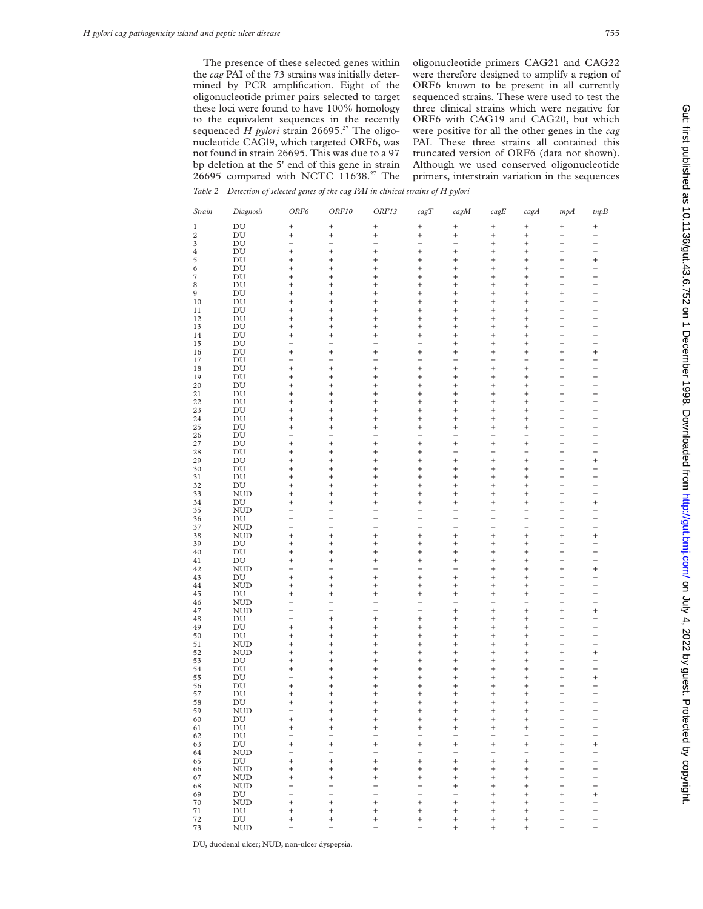The presence of these selected genes within the *cag* PAI of the 73 strains was initially determined by PCR amplification. Eight of the oligonucleotide primer pairs selected to target these loci were found to have 100% homology to the equivalent sequences in the recently sequenced *H pylori* strain 26695.<sup>27</sup> The oligonucleotide CAGl9, which targeted ORF6, was not found in strain 26695. This was due to a 97 bp deletion at the 5' end of this gene in strain 26695 compared with NCTC 11638.<sup>27</sup> The

oligonucleotide primers CAG21 and CAG22 were therefore designed to amplify a region of ORF6 known to be present in all currently sequenced strains. These were used to test the three clinical strains which were negative for ORF6 with CAG19 and CAG20, but which were positive for all the other genes in the *cag* PAI. These three strains all contained this truncated version of ORF6 (data not shown). Although we used conserved oligonucleotide primers, interstrain variation in the sequences

*Table 2 Detection of selected genes of the cag PAI in clinical strains of H pylori*

| Strain         | Diagnosis                        | ORF6                     | ORF10               | ORF13                                      | cagT                     | cagM                     | $\ensuremath{\textit{cagE}}$ | cagA                     | tnpA                                                 | tmpB                                       |
|----------------|----------------------------------|--------------------------|---------------------|--------------------------------------------|--------------------------|--------------------------|------------------------------|--------------------------|------------------------------------------------------|--------------------------------------------|
| 1              | DU                               | $^{+}$                   | $\! + \!\!\!\!$     | $\begin{array}{c} + \end{array}$           | $\ddot{}$                | $^{+}$                   | $\! + \!\!\!\!$              | $\ddot{}$                | $\! + \!\!\!\!$                                      | $^{+}$                                     |
| 2              | DU                               | $^{+}$                   | $\! + \!\!\!\!$     | $\! + \!\!\!\!$                            | $^{+}$                   | $^{+}$                   | $^{+}$                       | $^{+}$                   | $\overline{\phantom{0}}$                             | -                                          |
| 3              | DU                               | $\overline{a}$           |                     | $\overline{a}$                             |                          | -                        | $^{+}$                       | $^{+}$                   | $\overline{\phantom{0}}$                             | $\overline{\phantom{0}}$                   |
| $\overline{4}$ | ${\rm DU}$                       | $^{+}$                   | $^{+}$              | $^{+}$                                     | $^{+}$                   | $^{+}$                   | $\ddot{}$                    | $\ddot{}$                | $\overline{\phantom{0}}$                             | $\overline{\phantom{0}}$                   |
| 5              | DU                               | $^{+}$                   | $^{+}$              | $^{+}$                                     | $^{+}$                   | $\ddot{}$                | $^{+}$                       | $\ddot{}$                | $^{+}$                                               | $^{+}$                                     |
| 6              | DU                               | $\ddot{}$                | $^{+}$              | $^{+}$                                     | $^{+}$                   | $^{+}$                   | $\ddot{}$                    | $\ddot{}$                | $\overline{\phantom{0}}$<br>$\overline{a}$           | $\overline{\phantom{0}}$<br>$\overline{a}$ |
| 7              | DU                               | $^{+}$                   | $\ddot{}$           | $^{+}$                                     | $^{+}$                   | $^{+}$                   | $^{+}$                       | $\ddot{}$                | $\overline{\phantom{0}}$                             |                                            |
| 8<br>9         | DU<br>DU                         | $^{+}$<br>$^{+}$         | $^{+}$<br>$^{+}$    | $^{+}$<br>$^{+}$                           | $^{+}$<br>$^{+}$         | $^{+}$<br>$^{+}$         | $^{+}$<br>$\ddot{}$          | $\ddot{}$<br>$\ddot{}$   | $^{+}$                                               | $\overline{\phantom{0}}$                   |
| 10             | DU                               | $^{+}$                   | $^{+}$              | $^{+}$                                     | $^{+}$                   | $^{+}$                   | $\ddot{}$                    | $\ddot{}$                | -                                                    | -                                          |
| 11             | DU                               | $^{+}$                   | $^{+}$              | $^{+}$                                     | $^{+}$                   | $^{+}$                   | $\ddot{}$                    | $\ddot{}$                | $\overline{a}$                                       | $\overline{a}$                             |
| 12             | DU                               | $^{+}$                   | $^{+}$              | $^{+}$                                     | $^{+}$                   | $^{+}$                   | $\ddot{}$                    | $\ddot{}$                | $\overline{\phantom{0}}$                             | $\overline{a}$                             |
| 13             | DU                               | $^{+}$                   | $^{+}$              | $^{+}$                                     | $^{+}$                   | $^{+}$                   | $\ddot{}$                    | $\ddot{}$                | $\overline{\phantom{0}}$                             | $\overline{\phantom{0}}$                   |
| 14             | DU                               | $^{+}$                   | $^{+}$              | $^{+}$                                     | $^{+}$                   | $^{+}$                   | $^{+}$                       | $\ddot{}$                | $\overline{a}$                                       | $\overline{\phantom{0}}$                   |
| 15             | DU                               |                          |                     |                                            |                          | $^{+}$                   | $\ddot{}$                    | $\ddot{}$                | $\overline{\phantom{0}}$                             | $\overline{\phantom{0}}$                   |
| 16             | DU                               | $\ddot{}$                | $^{+}$              | $^{+}$                                     | $^{+}$                   | $^{+}$                   | $\ddot{}$                    | $\ddot{}$                | $^{+}$                                               | $^{+}$                                     |
| 17             | DU                               |                          |                     | $\overline{\phantom{a}}$                   |                          | $\overline{\phantom{0}}$ | $\overline{\phantom{0}}$     |                          | $\overline{a}$                                       |                                            |
| 18             | DU                               | $^{+}$                   | $^{+}$              | $^{+}$                                     | $^{+}$                   | $^{+}$                   | $\ddot{}$                    | $\ddot{}$                | $\overline{a}$                                       | $\overline{\phantom{0}}$                   |
| 19             | DU                               | $^{+}$                   | $\ddot{}$           | $^{+}$                                     | $^{+}$                   | $^{+}$                   | $^{+}$                       | $\ddot{}$                | $\overline{a}$                                       | $\overline{\phantom{0}}$                   |
| 20             | DU                               | $^{+}$                   | $^{+}$              | $^{+}$                                     | $^{+}$                   | $^{+}$                   | $^{+}$                       | $\ddot{}$                | $\overline{\phantom{0}}$                             | $\overline{\phantom{0}}$                   |
| 21             | DU                               | $^{+}$                   | $\ddot{}$           | $^{+}$                                     | $^{+}$                   | $^{+}$                   | $^{+}$                       | $\ddot{}$                | $\overline{a}$                                       | $\overline{a}$                             |
| 22             | DU                               | $^{+}$                   | $^{+}$              | $^{+}$                                     | $^{+}$                   | $^{+}$                   | $^{+}$                       | $\ddot{}$                | -                                                    | -                                          |
| 23<br>24       | DU<br>DU                         | $^{+}$<br>$^{+}$         | $\ddot{}$<br>$^{+}$ | $^{+}$<br>$\ddot{}$                        | $\ddot{}$<br>$^{+}$      | $^{+}$<br>$^{+}$         | $^{+}$<br>$^{+}$             | $\ddot{}$<br>$\ddot{}$   | -<br>$\overline{\phantom{0}}$                        | -<br>$\overline{a}$                        |
| 25             | DU                               | $^{+}$                   | $^{+}$              | $^{+}$                                     | $^{+}$                   | $^{+}$                   | $^{+}$                       | $\ddot{}$                | $\overline{\phantom{0}}$                             | $\overline{\phantom{0}}$                   |
| 26             | DU                               | $\overline{\phantom{0}}$ |                     | $\overline{\phantom{0}}$                   | $\overline{\phantom{0}}$ | $\overline{\phantom{0}}$ | $\overline{\phantom{0}}$     | -                        | $\overline{\phantom{0}}$                             | $\overline{\phantom{0}}$                   |
| 27             | DU                               | $^{+}$                   | $^{+}$              | $^{+}$                                     | $^{+}$                   | $^{+}$                   | $^{+}$                       | $^{+}$                   | $\overline{\phantom{0}}$                             |                                            |
| 28             | DU                               | $^{+}$                   | $\ddot{}$           | $^{+}$                                     | $^{+}$                   | $\overline{a}$           | $\overline{a}$               | $\overline{\phantom{a}}$ | $\overline{\phantom{0}}$                             | $\overline{a}$                             |
| 29             | DU                               | $^{+}$                   | $^{+}$              | $^{+}$                                     | $^{+}$                   | $^{+}$                   | $\ddot{}$                    | $^{+}$                   | -                                                    | $^{+}$                                     |
| 30             | DU                               | $^{+}$                   | $^{+}$              | $^{+}$                                     | $^{+}$                   | $^{+}$                   | $\ddot{}$                    | $\ddot{}$                | $\overline{a}$                                       | $\overline{\phantom{0}}$                   |
| 31             | DU                               | $^{+}$                   | $\ddot{}$           | $^{+}$                                     | $^{+}$                   | $^{+}$                   | $\ddot{}$                    | $\ddot{}$                | -                                                    |                                            |
| 32             | $\operatorname{DU}$              | $^{+}$                   | $^{+}$              | $^{+}$                                     | $^{+}$                   | $^{+}$                   | $\ddot{}$                    | $\ddot{}$                | $\overline{\phantom{0}}$                             | $\overline{\phantom{0}}$                   |
| 33             | <b>NUD</b>                       | $^{+}$                   | $\ddot{}$           | $^{+}$                                     | $^{+}$                   | $^{+}$                   | $^{+}$                       | $\ddot{}$                | $\overline{\phantom{0}}$                             | $\overline{\phantom{0}}$                   |
| 34             | DU                               | $^{+}$                   | $^{+}$              | $^{+}$                                     | $^{+}$                   | $^{+}$                   | $^{+}$                       | $\ddot{}$                | $^{+}$                                               | $^{+}$                                     |
| 35             | <b>NUD</b>                       | $\overline{a}$           |                     |                                            |                          | $\overline{\phantom{0}}$ |                              |                          | $\overline{\phantom{0}}$                             | $\overline{a}$                             |
| 36             | DU                               |                          |                     | -                                          |                          | $\overline{a}$           | -                            |                          | -                                                    | -                                          |
| 37             | <b>NUD</b>                       | $\overline{\phantom{0}}$ | $\equiv$            | $\overline{a}$                             | $\equiv$                 | $\overline{\phantom{0}}$ | $\overline{a}$               | $\overline{a}$           | $\overline{\phantom{0}}$                             | $\overline{a}$                             |
| 38             | <b>NUD</b>                       | $\ddot{}$                | $\ddot{}$           | $^{+}$                                     | $\ddot{}$                | $^{+}$                   | $^{+}$                       | $^{+}$                   | $^{+}$                                               | $^{+}$                                     |
| 39<br>40       | DU<br>DU                         | $^{+}$<br>$^{+}$         | $^{+}$<br>$^{+}$    | $^{+}$<br>$^{+}$                           | $^{+}$<br>$^{+}$         | $^{+}$<br>$^{+}$         | $\ddot{}$<br>$^{+}$          | $\ddot{}$<br>$\ddot{}$   | $\overline{\phantom{0}}$<br>$\overline{\phantom{0}}$ | $\overline{\phantom{0}}$<br>$\overline{a}$ |
| 41             | $\mathop{\rm DU}\nolimits$       | $^{+}$                   | $^{+}$              | $^{+}$                                     | $^{+}$                   | $\ddot{}$                | $^{+}$                       | $\ddot{}$                | $\overline{\phantom{0}}$                             |                                            |
| 42             | <b>NUD</b>                       | $\overline{\phantom{0}}$ |                     | $\overline{a}$                             | $\overline{\phantom{0}}$ | $\overline{a}$           | $^{+}$                       | $\ddot{}$                | $^{+}$                                               | $^{+}$                                     |
| 43             | DU                               | $^{+}$                   | $\ddot{}$           | $\ddot{}$                                  | $\ddot{}$                | $^{+}$                   | $^{+}$                       | $\ddot{}$                | -                                                    | $\overline{a}$                             |
| 44             | <b>NUD</b>                       | $^{+}$                   | $^{+}$              | $^{+}$                                     | $\ddot{}$                | $^{+}$                   | $^{+}$                       | $\ddot{}$                | $\overline{a}$                                       | $\overline{a}$                             |
| 45             | DU                               | $^{+}$                   | $^{+}$              | $^{+}$                                     | $\ddot{}$                | $^{+}$                   | $^{+}$                       | $\ddot{}$                | $\overline{\phantom{0}}$                             | $\overline{\phantom{0}}$                   |
| 46             | <b>NUD</b>                       | $\overline{\phantom{0}}$ |                     | $\overline{\phantom{0}}$                   | $\overline{\phantom{0}}$ | $\overline{\phantom{0}}$ | $\overline{\phantom{0}}$     |                          | $\overline{\phantom{0}}$                             | $\overline{a}$                             |
| 47             | <b>NUD</b>                       | $\overline{a}$           |                     | $\overline{a}$                             | $\overline{a}$           | $^{+}$                   | $^{+}$                       | $^{+}$                   | $^{+}$                                               | $^{+}$                                     |
| 48             | $\mathop{\rm DU}\nolimits$       |                          | $\ddot{}$           | $^{+}$                                     | $^{+}$                   | $^{+}$                   | $^{+}$                       | $^{+}$                   | $\overline{\phantom{0}}$                             |                                            |
| 49             | DU                               | $\ddot{}$                | $^{+}$              | $^{+}$                                     | $^{+}$                   | $^{+}$                   | $\ddot{}$                    | $\ddot{}$                | $\overline{\phantom{0}}$                             | $\overline{a}$                             |
| 50             | DU                               | $^{+}$                   | $\ddot{}$           | $^{+}$                                     | $^{+}$                   | $^{+}$                   | $^{+}$                       | $\ddot{}$                | $\overline{a}$                                       | $\overline{\phantom{0}}$                   |
| 51             | <b>NUD</b>                       | $\ddot{}$                | $^{+}$              | $^{+}$                                     | $^{+}$                   | $^{+}$                   | $\ddot{}$                    | $\ddot{}$                | $\overline{\phantom{0}}$                             | $\overline{\phantom{0}}$                   |
| 52             | <b>NUD</b>                       | $^{+}$                   | $\ddot{}$           | $^{+}$                                     | $^{+}$                   | $^{+}$                   | $^{+}$                       | $\ddot{}$                | $^{+}$                                               | $^{+}$                                     |
| 53             | DU                               | $^{+}$                   | $^{+}$              | $^{+}$                                     | $^{+}$                   | $^{+}$                   | $^{+}$                       | $\ddot{}$                | $\overline{\phantom{0}}$<br>$\overline{a}$           | $\overline{\phantom{0}}$<br>$\overline{a}$ |
| 54             | DU<br>DU                         | $^{+}$                   | $\ddot{}$<br>$^{+}$ | $^{+}$<br>$^{+}$                           | $^{+}$<br>$\ddot{}$      | $^{+}$<br>$^{+}$         | $^{+}$<br>$^{+}$             | $\ddot{}$<br>$\ddot{}$   | $^{+}$                                               | $^{+}$                                     |
| 55<br>56       | DU                               | $^{+}$                   | $\ddot{}$           | $^{+}$                                     | $\ddot{}$                | $^{+}$                   | $^{+}$                       | $\ddot{}$                |                                                      | -                                          |
| 57             | DU                               | $\ddot{}$                | $^{+}$              | $\ddot{}$                                  | $\ddot{}$                | $\ddot{}$                | $^{+}$                       | $\ddot{}$                | $\overline{\phantom{0}}$                             | $\overline{\phantom{0}}$                   |
| 58             | $\mathop{\rm DU}\nolimits$       | $^{+}$                   | $^{+}$              | $^{+}$                                     | $^{+}$                   | $^{+}$                   | $^{+}$                       | $\ddot{}$                | $\overline{\phantom{0}}$                             | $\overline{\phantom{0}}$                   |
| 59             | <b>NUD</b>                       | $\overline{\phantom{0}}$ | $\ddot{}$           | $\ddot{}$                                  | $^{+}$                   | $^{+}$                   | $^{+}$                       | $^{+}$                   | $\overline{a}$                                       | $\overline{a}$                             |
| 60             | DU                               |                          |                     |                                            |                          |                          |                              |                          |                                                      |                                            |
| 61             | DU                               | $\ddot{}$                | $^{+}$              | $^{+}$                                     | $\ddot{}$                | $^{+}$                   | $\ddot{}$                    | $^{+}$                   |                                                      |                                            |
| 62             | $\mathop{\rm DU}\nolimits$       |                          |                     |                                            |                          |                          |                              |                          | $\overline{\phantom{a}}$                             | $\overline{\phantom{a}}$                   |
| 63             | $\operatorname{DU}$              | $^{+}$                   | $^{+}$              | $^{+}$                                     | $^{+}$                   | $^{+}$                   | $^{+}$                       | $^{+}$                   | $^{+}$                                               | $^{+}$                                     |
| 64             | <b>NUD</b>                       | -                        |                     | $\overline{\phantom{0}}$                   |                          | $\overline{\phantom{0}}$ |                              |                          |                                                      |                                            |
| 65             | ${\rm DU}$                       | $^{+}$                   | $^{+}$              | $^{+}$                                     | $^{+}$                   | $^{+}$                   | $^{+}$                       | $^{+}$                   | $\overline{\phantom{0}}$                             |                                            |
| 66             | <b>NUD</b>                       | $^{+}$                   | $^{+}$              | $^{+}$                                     | $^{+}$                   | $^{+}$                   | $^{+}$                       | $^{+}$                   | <sup>-</sup>                                         | -                                          |
| 67             | <b>NUD</b>                       | $^{+}$                   | $^{+}$              | $\qquad \qquad +$                          | $^{+}$                   | $^{+}$                   | $^{+}$                       | $^{+}$                   | $\overline{a}$                                       |                                            |
| 68             | <b>NUD</b>                       | $\overline{\phantom{0}}$ |                     | $\overline{a}$                             | $\overline{\phantom{0}}$ | $^{+}$                   | $^{+}$                       | $\ddot{}$                | -                                                    | -                                          |
| 69             | DU                               | $\overline{a}$           |                     |                                            | $\overline{a}$           | $\overline{\phantom{0}}$ | $\ddot{}$                    | $^{+}$                   | $^{+}$                                               | $^{+}$                                     |
| 70             | <b>NUD</b>                       | $^{+}$                   | $^{+}$              | $\qquad \qquad +$                          | $^{+}$                   | $^{+}$                   | $^{+}$                       | $^{+}$                   | $\overline{\phantom{0}}$                             | $\overline{\phantom{0}}$                   |
| $71\,$<br>72   | $\mathop{\rm DU}\nolimits$<br>DU | $^{+}$<br>$\ddot{}$      | $\ddot{}$<br>$^{+}$ | $\begin{array}{c} + \end{array}$<br>$^{+}$ | $\ddot{}$<br>$^{+}$      | $\ddot{}$<br>$^{+}$      | $^{+}$<br>$^{+}$             | $^{+}$                   | -                                                    | -                                          |
| 73             | <b>NUD</b>                       |                          |                     |                                            |                          | $^{+}$                   | $^{+}$                       | $\ddot{}$<br>$^{+}$      | $\overline{a}$                                       | $\overline{\phantom{a}}$                   |
|                |                                  |                          |                     |                                            |                          |                          |                              |                          |                                                      |                                            |

DU, duodenal ulcer; NUD, non-ulcer dyspepsia.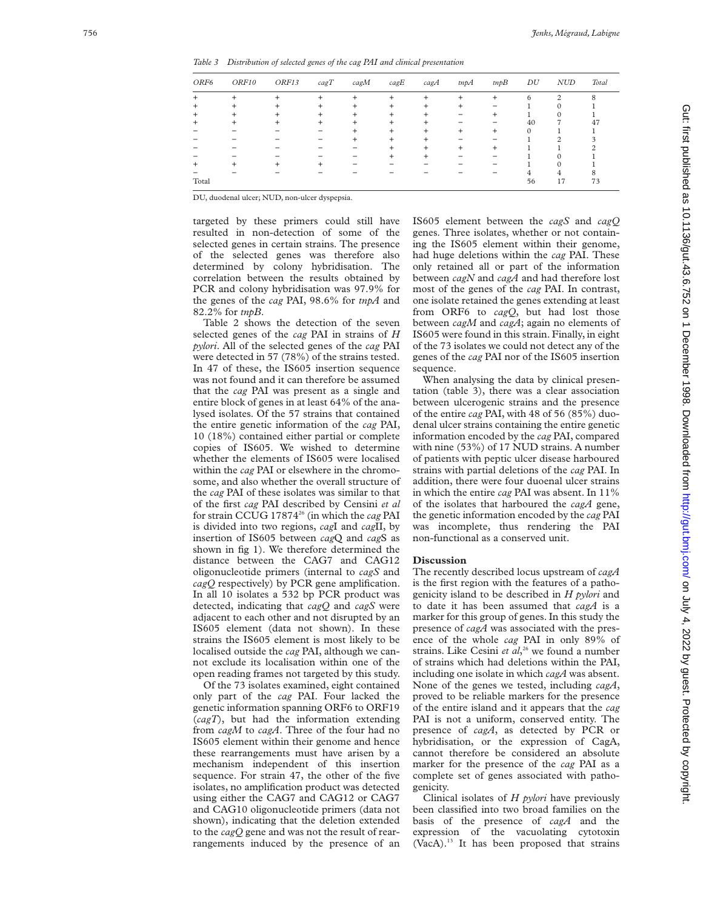*Table 3 Distribution of selected genes of the cag PAI and clinical presentation*

| ORF6  | ORF10 | ORF13 | cagT | cagM | cagE  | $c$ ag $A$ | tnpA | tmpB  | DU | <b>NUD</b>    | Total |
|-------|-------|-------|------|------|-------|------------|------|-------|----|---------------|-------|
| $\pm$ |       |       |      | ÷    | ÷     | ÷          | ÷    | $\pm$ | h  | $\mathcal{P}$ | 8     |
| $\pm$ |       |       |      |      |       |            |      |       |    |               |       |
| $\pm$ |       |       |      |      | $\pm$ | ٠          |      |       |    |               |       |
|       |       |       |      |      |       |            |      |       | 40 |               | 47    |
|       |       |       |      |      | +     | ÷          | +    | $\pm$ |    |               |       |
|       |       |       |      |      |       |            |      |       |    | ◠             |       |
|       |       |       |      |      |       | +          | $^+$ | $\pm$ |    |               |       |
|       |       |       |      |      |       |            |      |       |    |               |       |
| ÷     |       |       |      |      |       |            |      |       |    |               |       |
|       |       |       |      |      |       |            |      |       |    | 4             |       |
| Total |       |       |      |      |       |            |      |       | 56 | 17            | 73    |

DU, duodenal ulcer; NUD, non-ulcer dyspepsia.

targeted by these primers could still have resulted in non-detection of some of the selected genes in certain strains. The presence of the selected genes was therefore also determined by colony hybridisation. The correlation between the results obtained by PCR and colony hybridisation was 97.9% for the genes of the *cag* PAI, 98.6% for *tnpA* and 82.2% for *tnpB* .

Table 2 shows the detection of the seven selected genes of the *cag* PAI in strains of *H pylori*. All of the selected genes of the *cag* PAI were detected in 57 (78%) of the strains tested. In 47 of these, the IS605 insertion sequence was not found and it can therefore be assumed that the *cag* PAI was present as a single and entire block of genes in at least 64% of the analysed isolates. Of the 57 strains that contained the entire genetic information of the *cag* PAI, 10 (18%) contained either partial or complete copies of IS605. We wished to determine whether the elements of IS605 were localised within the *cag* PAI or elsewhere in the chromosome, and also whether the overall structure of the *cag* PAI of these isolates was similar to that of the first *cag* PAI described by Censini *et al* for strain CCUG 1787426 (in which the *cag* PAI is divided into two regions, *cag*I and *cag*II, by insertion of IS605 between *cag*Q and *cag*S as shown in fig 1). We therefore determined the distance between the CAG7 and CAG12 oligonucleotide primers (internal to *cagS* and *cagQ* respectively) by PCR gene amplification. In all 10 isolates a 532 bp PCR product was detected, indicating that *cagQ* and *cagS* were adjacent to each other and not disrupted by an IS605 element (data not shown). In these strains the IS605 element is most likely to be localised outside the *cag* PAI, although we cannot exclude its localisation within one of the open reading frames not targeted by this study.

Of the 73 isolates examined, eight contained only part of the *cag* PAI. Four lacked the genetic information spanning ORF6 to ORF19 (*cagT*), but had the information extending from *cagM* to *cagA*. Three of the four had no IS605 element within their genome and hence these rearrangements must have arisen by a mechanism independent of this insertion sequence. For strain 47, the other of the five isolates, no amplification product was detected using either the CAG7 and CAG12 or CAG7 and CAG10 oligonucleotide primers (data not shown), indicating that the deletion extended to the *cagQ* gene and was not the result of rearrangements induced by the presence of an IS605 element between the *cagS* and *cagQ* genes. Three isolates, whether or not containing the IS605 element within their genome, had huge deletions within the *cag* PAI. These only retained all or part of the information between *cagN* and *cagA* and had therefore lost most of the genes of the *cag* PAI. In contrast, one isolate retained the genes extending at least from ORF6 to *cagQ*, but had lost those between *cagM* and *cagA*; again no elements of IS605 were found in this strain. Finally, in eight of the 73 isolates we could not detect any of the genes of the *cag* PAI nor of the IS605 insertion sequence.

When analysing the data by clinical presentation (table 3), there was a clear association between ulcerogenic strains and the presence of the entire *cag* PAI, with 48 of 56 (85%) duodenal ulcer strains containing the entire genetic information encoded by the *cag* PAI, compared with nine (53%) of 17 NUD strains. A number of patients with peptic ulcer disease harboured strains with partial deletions of the *cag* PAI. In addition, there were four duoenal ulcer strains in which the entire *cag* PAI was absent. In 11% of the isolates that harboured the *cagA* gene, the genetic information encoded by the *cag* PAI was incomplete, thus rendering the PAI non-functional as a conserved unit.

## **Discussion**

The recently described locus upstream of *cagA* is the first region with the features of a pathogenicity island to be described in *H pylori* and to date it has been assumed that *cagA* is a marker for this group of genes. In this study the presence of *cagA* was associated with the presence of the whole *cag* PAI in only 89% of strains. Like Cesini *et al*, <sup>26</sup> we found a number of strains which had deletions within the PAI, including one isolate in which *cagA* was absent. None of the genes we tested, including *cagA* , proved to be reliable markers for the presence of the entire island and it appears that the *cag* PAI is not a uniform, conserved entity. The presence of *cagA*, as detected by PCR or hybridisation, or the expression of CagA, cannot therefore be considered an absolute marker for the presence of the *cag* PAI as a complete set of genes associated with pathogenicity.

Clinical isolates of *H pylori* have previously been classified into two broad families on the basis of the presence of *cagA* and the expression of the vacuolating cytotoxin (VacA).<sup>13</sup> It has been proposed that strains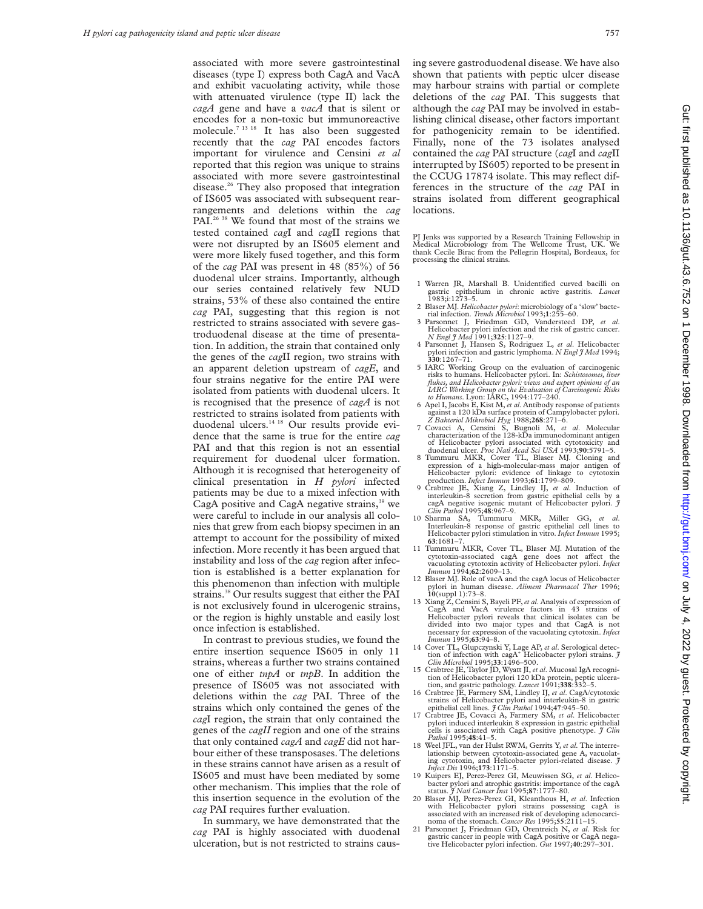associated with more severe gastrointestinal diseases (type I) express both CagA and VacA and exhibit vacuolating activity, while those with attenuated virulence (type II) lack the *cagA* gene and have a *vacA* that is silent or encodes for a non-toxic but immunoreactive molecule.7 13 18 It has also been suggested recently that the *cag* PAI encodes factors important for virulence and Censini *et al* reported that this region was unique to strains associated with more severe gastrointestinal disease.26 They also proposed that integration of IS605 was associated with subsequent rearrangements and deletions within the *cag* PAI.<sup>26 38</sup> We found that most of the strains we tested contained *cag*I and *cag*II regions that were not disrupted by an IS605 element and were more likely fused together, and this form of the *cag* PAI was present in 48 (85%) of 56 duodenal ulcer strains. Importantly, although our series contained relatively few NUD strains, 53% of these also contained the entire *cag* PAI, suggesting that this region is not restricted to strains associated with severe gastroduodenal disease at the time of presentation. In addition, the strain that contained only the genes of the *cag*II region, two strains with an apparent deletion upstream of *cagE*, and four strains negative for the entire PAI were isolated from patients with duodenal ulcers. It is recognised that the presence of *cagA* is not restricted to strains isolated from patients with duodenal ulcers.<sup>14 18</sup> Our results provide evidence that the same is true for the entire *cag* PAI and that this region is not an essential requirement for duodenal ulcer formation. Although it is recognised that heterogeneity of clinical presentation in *H pylori* infected patients may be due to a mixed infection with CagA positive and CagA negative strains, $39$  we were careful to include in our analysis all colonies that grew from each biopsy specimen in an attempt to account for the possibility of mixed infection. More recently it has been argued that instability and loss of the *cag* region after infection is established is a better explanation for this phenomenon than infection with multiple strains.<sup>38</sup> Our results suggest that either the PAI is not exclusively found in ulcerogenic strains, or the region is highly unstable and easily lost once infection is established.

In contrast to previous studies, we found the entire insertion sequence IS605 in only 11 strains, whereas a further two strains contained one of either *tnpA* or *tnpB*. In addition the presence of IS605 was not associated with deletions within the *cag* PAI. Three of the strains which only contained the genes of the *cag*I region, the strain that only contained the genes of the *cagII* region and one of the strains that only contained *cagA* and *cagE* did not harbour either of these transposases. The deletions in these strains cannot have arisen as a result of IS605 and must have been mediated by some other mechanism. This implies that the role of this insertion sequence in the evolution of the *cag* PAI requires further evaluation.

In summary, we have demonstrated that the *cag* PAI is highly associated with duodenal ulceration, but is not restricted to strains causing severe gastroduodenal disease. We have also shown that patients with peptic ulcer disease may harbour strains with partial or complete deletions of the *cag* PAI. This suggests that although the *cag* PAI may be involved in establishing clinical disease, other factors important for pathogenicity remain to be identified. Finally, none of the 73 isolates analysed contained the *cag* PAI structure (*cag*I and *cag*II interrupted by IS605) reported to be present in the CCUG 17874 isolate. This may reflect differences in the structure of the *cag* PAI in strains isolated from different geographical locations.

PJ Jenks was supported by a Research Training Fellowship in Medical Microbiology from The Wellcome Trust, UK. We thank Cecile Birac from the Pellegrin Hospital, Bordeaux, for processing the clinical strains.

- 1 Warren JR, Marshall B. Unidentified curved bacilli on gastric epithelium in chronic active gastritis. *Lancet* 1983;i:1273–5.
- 2 Blaser MJ. *Helicobacter pylori*: microbiology of a 'slow' bacte-rial infection. *Trends Microbiol* 1993;**1**:255–60.
- 3 Parsonnet J, Friedman GD, Vandersteed DP, *et al*. Helicobacter pylori infection and the risk of gastric cancer. *N Engl J Med* 1991;**325**:1127–9.
- 4 Parsonnet J, Hansen S, Rodriguez L, *et al*. Helicobacter pylori infection and gastric lymphoma. *N Engl J Med* 1994; **330**:1267–71.
- 5 IARC Working Group on the evaluation of carcinogenic risks to humans. Helicobacter pylori. In: *Schistosomes, liver flukes, and Helicobacter pylori: views and expert opinions of an*
- IARC Working Group on the Evaluation of Carcinogenic Risks<br>to Humans. Lyon: IARC, 1994:177-240.<br>6 Apel I, Jacobs E, Kist M, et al. Antibody response of patients<br>against a 120 kDa surface protein of Campylobacter pylori.
- *Z Bakteriol Mikrobiol Hyg* 1988;**268**:271–6. 7 Covacci A, Censini S, Bugnoli M, *et al*. Molecular characterization of the 128-kDa immunodominant antigen of Helicobacter pylori associated with cytotoxicity and duodenal ulcer. *Proc Natl Acad Sci USA* 1993;**90**:5791–5.
- 8 Tummuru MKR, Cover TL, Blaser MJ. Cloning and expression of a high-molecular-mass major antigen of
- Helicobacter pylori: evidence of linkage to cytotoxin<br>production. *Infect Immun* 1993;61:1799-809.<br>9 Crabtree JE, Xiang Z, Lindley IJ, *et al.* Induction of<br>interleukin-8 secretion from gastric epithelial cells by a cagA negative isogenic mutant of Helicobacter pylori. *J Clin Pathol* 1995;**48**:967–9.
- 10 Sharma SA, Tummuru MKR, Miller GG, *et al*. Interleukin-8 response of gastric epithelial cell lines to Helicobacter pylori stimulation in vitro. *Infect Immun* 1995; **63**:1681–7.
- 11 Tummuru MKR, Cover TL, Blaser MJ. Mutation of the cytotoxin-associated cagA gene does not aVect the vacuolating cytotoxin activity of Helicobacter pylori. *Infect Immun* 1994;**62**:2609–13.
- 12 Blaser MJ. Role of vacA and the cagA locus of Helicobacter pylori in human disease. *Aliment Pharmacol Ther* 1996; **10**(suppl 1):73–8.
- 13 Xiang Z, Censini S, Bayeli PF,*et al*. Analysis of expression of CagA and VacA virulence factors in 43 strains of Helicobacter pylori reveals that clinical isolates can be divided into two major types and that CagA is not necessary for expression of the vacuolating cytotoxin. *Infect Immun* 1995;**63**:94–8.
- 14 Cover TL, Glupczynski Y, Lage AP, *et al*. Serological detection of infection with cagA<sup>+</sup> Helicobacter pylori strains. *J* Clin Microbiol 1995;**33**:1496–500.
- 15 Crabtree JE, Taylor JD, Wyatt JI, *et al*. Mucosal IgA recognition of Helicobacter pylori 120 kDa protein, peptic ulcera-tion, and gastric pathology. *Lancet* 1991;**338**:332–5.
- 16 Crabtree JE, Farmery SM, Lindley IJ, *et al*. CagA/cytotoxic strains of Helicobacter pylori and interleukin-8 in gastric epithelial cell lines. *J Clin Pathol* 1994;**47**:945–50.
- 17 Crabtree JE, Covacci A, Farmery SM, *et al*. Helicobacter pylori induced interleukin 8 expression in gastric epithelial cells is associated with CagA positive phenotype. *J Clin Pathol* 1995;**48**:41–5.
- 18 Weel JFL, van der Hulst RWM, Gerrits Y, *et al*. The interrelationship between cytotoxin-associated gene A, vacuolat-ing cytotoxin, and Helicobacter pylori-related disease. *J Infect Dis* 1996;**173**:1171–5.
- 19 Kuipers EJ, Perez-Perez GI, Meuwissen SG, *et al*. Helicobacter pylori and atrophic gastritis: importance of the cagA status. *J Natl Cancer Inst* 1995;**87**:1777–80.
- 20 Blaser MJ, Perez-Perez GI, Kleanthous H, *et al*. Infection with Helicobacter pylori strains possessing cagA is associated with an increased risk of developing adenocarci-noma of the stomach. *Cancer Res* 1995;**55**:2111–15.
- 21 Parsonnet J, Friedman GD, Orentreich N, *et al*. Risk for gastric cancer in people with CagA positive or CagA negative Helicobacter pylori infection. *Gut* 1997;**40**:297–301.